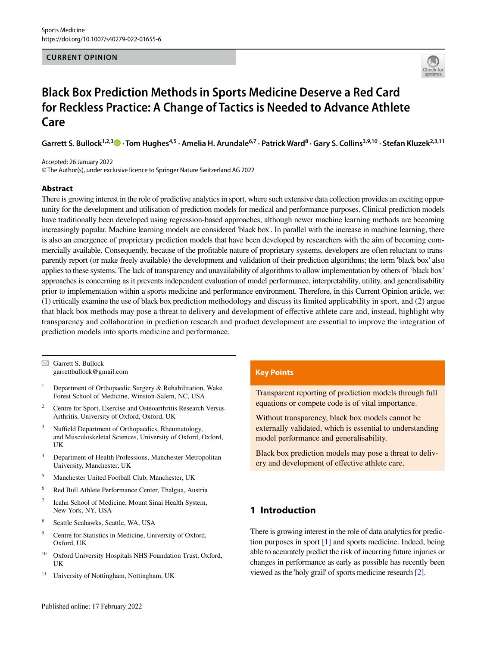## **CURRENT OPINION**



# **Black Box Prediction Methods in Sports Medicine Deserve a Red Card for Reckless Practice: A Change of Tactics is Needed to Advance Athlete Care**

Garrett S. Bullock<sup>1,2,3</sup> <sup>0</sup> [·](http://orcid.org/0000-0003-0236-9015) Tom Hughes<sup>4,5</sup> · Amelia H. Arundale<sup>6,7</sup> · Patrick Ward<sup>8</sup> · Gary S. Collins<sup>3,9,10</sup> · Stefan Kluzek<sup>2,3,11</sup>

Accepted: 26 January 2022 © The Author(s), under exclusive licence to Springer Nature Switzerland AG 2022

### **Abstract**

There is growing interest in the role of predictive analytics in sport, where such extensive data collection provides an exciting opportunity for the development and utilisation of prediction models for medical and performance purposes. Clinical prediction models have traditionally been developed using regression-based approaches, although newer machine learning methods are becoming increasingly popular. Machine learning models are considered 'black box'. In parallel with the increase in machine learning, there is also an emergence of proprietary prediction models that have been developed by researchers with the aim of becoming commercially available. Consequently, because of the proftable nature of proprietary systems, developers are often reluctant to transparently report (or make freely available) the development and validation of their prediction algorithms; the term 'black box' also applies to these systems. The lack of transparency and unavailability of algorithms to allow implementation by others of 'black box' approaches is concerning as it prevents independent evaluation of model performance, interpretability, utility, and generalisability prior to implementation within a sports medicine and performance environment. Therefore, in this Current Opinion article, we: (1) critically examine the use of black box prediction methodology and discuss its limited applicability in sport, and (2) argue that black box methods may pose a threat to delivery and development of efective athlete care and, instead, highlight why transparency and collaboration in prediction research and product development are essential to improve the integration of prediction models into sports medicine and performance.

 $\boxtimes$  Garrett S. Bullock garrettbullock@gmail.com

- <sup>1</sup> Department of Orthopaedic Surgery  $\&$  Rehabilitation, Wake Forest School of Medicine, Winston-Salem, NC, USA
- <sup>2</sup> Centre for Sport, Exercise and Osteoarthritis Research Versus Arthritis, University of Oxford, Oxford, UK
- $3$  Nuffield Department of Orthopaedics, Rheumatology, and Musculoskeletal Sciences, University of Oxford, Oxford, UK
- <sup>4</sup> Department of Health Professions, Manchester Metropolitan University, Manchester, UK
- <sup>5</sup> Manchester United Football Club, Manchester, UK
- <sup>6</sup> Red Bull Athlete Performance Center, Thalgua, Austria
- <sup>7</sup> Icahn School of Medicine, Mount Sinai Health System, New York, NY, USA
- <sup>8</sup> Seattle Seahawks, Seattle, WA, USA
- <sup>9</sup> Centre for Statistics in Medicine, University of Oxford, Oxford, UK
- <sup>10</sup> Oxford University Hospitals NHS Foundation Trust, Oxford, UK
- <sup>11</sup> University of Nottingham, Nottingham, UK

## **Key Points**

Transparent reporting of prediction models through full equations or compete code is of vital importance.

Without transparency, black box models cannot be externally validated, which is essential to understanding model performance and generalisability.

Black box prediction models may pose a threat to delivery and development of efective athlete care.

# **1 Introduction**

There is growing interest in the role of data analytics for prediction purposes in sport [\[1\]](#page-4-0) and sports medicine. Indeed, being able to accurately predict the risk of incurring future injuries or changes in performance as early as possible has recently been viewed as the 'holy grail' of sports medicine research [[2](#page-4-1)].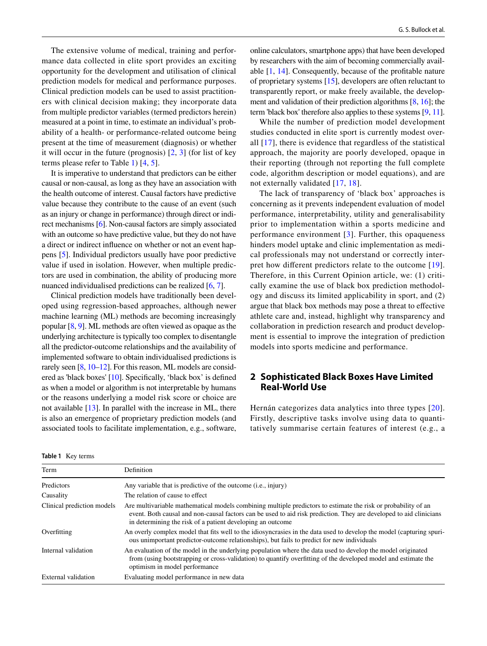The extensive volume of medical, training and performance data collected in elite sport provides an exciting opportunity for the development and utilisation of clinical prediction models for medical and performance purposes. Clinical prediction models can be used to assist practitioners with clinical decision making; they incorporate data from multiple predictor variables (termed predictors herein) measured at a point in time, to estimate an individual's probability of a health- or performance-related outcome being present at the time of measurement (diagnosis) or whether it will occur in the future (prognosis) [[2](#page-4-1), [3](#page-4-2)] (for list of key terms please refer to Table [1](#page-1-0)) [[4,](#page-4-3) [5\]](#page-4-4).

It is imperative to understand that predictors can be either causal or non-causal, as long as they have an association with the health outcome of interest. Causal factors have predictive value because they contribute to the cause of an event (such as an injury or change in performance) through direct or indirect mechanisms [[6\]](#page-5-0). Non-causal factors are simply associated with an outcome so have predictive value, but they do not have a direct or indirect infuence on whether or not an event happens [\[5](#page-4-4)]. Individual predictors usually have poor predictive value if used in isolation. However, when multiple predictors are used in combination, the ability of producing more nuanced individualised predictions can be realized [\[6](#page-5-0), [7](#page-5-1)].

Clinical prediction models have traditionally been developed using regression-based approaches, although newer machine learning (ML) methods are becoming increasingly popular [\[8,](#page-5-2) [9](#page-5-3)]. ML methods are often viewed as opaque as the underlying architecture is typically too complex to disentangle all the predictor-outcome relationships and the availability of implemented software to obtain individualised predictions is rarely seen [[8,](#page-5-2) [10–](#page-5-4)[12](#page-5-5)]. For this reason, ML models are considered as 'black boxes' [[10\]](#page-5-4). Specifcally, 'black box' is defned as when a model or algorithm is not interpretable by humans or the reasons underlying a model risk score or choice are not available [\[13](#page-5-6)]. In parallel with the increase in ML, there is also an emergence of proprietary prediction models (and associated tools to facilitate implementation, e.g., software,

online calculators, smartphone apps) that have been developed by researchers with the aim of becoming commercially available [[1,](#page-4-0) [14](#page-5-7)]. Consequently, because of the proftable nature of proprietary systems [[15\]](#page-5-8), developers are often reluctant to transparently report, or make freely available, the development and validation of their prediction algorithms [[8,](#page-5-2) [16](#page-5-9)]; the term 'black box' therefore also applies to these systems [[9](#page-5-3), [11\]](#page-5-10).

While the number of prediction model development studies conducted in elite sport is currently modest overall [[17](#page-5-11)], there is evidence that regardless of the statistical approach, the majority are poorly developed, opaque in their reporting (through not reporting the full complete code, algorithm description or model equations), and are not externally validated [\[17,](#page-5-11) [18](#page-5-12)].

The lack of transparency of 'black box' approaches is concerning as it prevents independent evaluation of model performance, interpretability, utility and generalisability prior to implementation within a sports medicine and performance environment [[3](#page-4-2)]. Further, this opaqueness hinders model uptake and clinic implementation as medical professionals may not understand or correctly interpret how diferent predictors relate to the outcome [[19](#page-5-13)]. Therefore, in this Current Opinion article, we: (1) critically examine the use of black box prediction methodology and discuss its limited applicability in sport, and (2) argue that black box methods may pose a threat to efective athlete care and, instead, highlight why transparency and collaboration in prediction research and product development is essential to improve the integration of prediction models into sports medicine and performance.

## **2 Sophisticated Black Boxes Have Limited Real‑World Use**

Hernán categorizes data analytics into three types [[20](#page-5-14)]. Firstly, descriptive tasks involve using data to quantitatively summarise certain features of interest (e.g., a

<span id="page-1-0"></span>

|  | <b>Table 1</b> Key terms |
|--|--------------------------|
|--|--------------------------|

| Term                       | <b>Definition</b>                                                                                                                                                                                                                                                                                 |
|----------------------------|---------------------------------------------------------------------------------------------------------------------------------------------------------------------------------------------------------------------------------------------------------------------------------------------------|
| Predictors                 | Any variable that is predictive of the outcome ( <i>i.e.</i> , injury)                                                                                                                                                                                                                            |
| Causality                  | The relation of cause to effect                                                                                                                                                                                                                                                                   |
| Clinical prediction models | Are multivariable mathematical models combining multiple predictors to estimate the risk or probability of an<br>event. Both causal and non-causal factors can be used to aid risk prediction. They are developed to aid clinicians<br>in determining the risk of a patient developing an outcome |
| Overfitting                | An overly complex model that fits well to the idiosyncrasies in the data used to develop the model (capturing spuri-<br>ous unimportant predictor-outcome relationships), but fails to predict for new individuals                                                                                |
| Internal validation        | An evaluation of the model in the underlying population where the data used to develop the model originated<br>from (using bootstrapping or cross-validation) to quantify overfitting of the developed model and estimate the<br>optimism in model performance                                    |
| External validation        | Evaluating model performance in new data                                                                                                                                                                                                                                                          |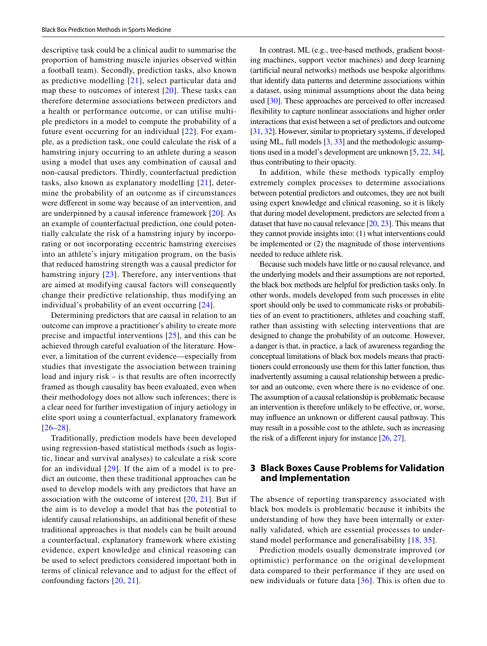descriptive task could be a clinical audit to summarise the proportion of hamstring muscle injuries observed within a football team). Secondly, prediction tasks, also known as predictive modelling [[21](#page-5-15)], select particular data and map these to outcomes of interest [[20\]](#page-5-14). These tasks can therefore determine associations between predictors and a health or performance outcome, or can utilise multiple predictors in a model to compute the probability of a future event occurring for an individual [[22\]](#page-5-16). For example, as a prediction task, one could calculate the risk of a hamstring injury occurring to an athlete during a season using a model that uses any combination of causal and non-causal predictors. Thirdly, counterfactual prediction tasks, also known as explanatory modelling [[21](#page-5-15)], determine the probability of an outcome as if circumstances were diferent in some way because of an intervention, and are underpinned by a causal inference framework [\[20](#page-5-14)]. As an example of counterfactual prediction, one could potentially calculate the risk of a hamstring injury by incorporating or not incorporating eccentric hamstring exercises into an athlete's injury mitigation program, on the basis that reduced hamstring strength was a causal predictor for hamstring injury [[23\]](#page-5-17). Therefore, any interventions that are aimed at modifying causal factors will consequently change their predictive relationship, thus modifying an individual's probability of an event occurring [[24\]](#page-5-18).

Determining predictors that are causal in relation to an outcome can improve a practitioner's ability to create more precise and impactful interventions [[25\]](#page-5-19), and this can be achieved through careful evaluation of the literature. However, a limitation of the current evidence—especially from studies that investigate the association between training load and injury risk – is that results are often incorrectly framed as though causality has been evaluated, even when their methodology does not allow such inferences; there is a clear need for further investigation of injury aetiology in elite sport using a counterfactual, explanatory framework [[26–](#page-5-20)[28](#page-5-21)].

Traditionally, prediction models have been developed using regression-based statistical methods (such as logistic, linear and survival analyses) to calculate a risk score for an individual  $[29]$  $[29]$ . If the aim of a model is to predict an outcome, then these traditional approaches can be used to develop models with any predictors that have an association with the outcome of interest  $[20, 21]$  $[20, 21]$  $[20, 21]$  $[20, 21]$ . But if the aim is to develop a model that has the potential to identify causal relationships, an additional beneft of these traditional approaches is that models can be built around a counterfactual, explanatory framework where existing evidence, expert knowledge and clinical reasoning can be used to select predictors considered important both in terms of clinical relevance and to adjust for the efect of confounding factors [\[20,](#page-5-14) [21](#page-5-15)].

In contrast, ML (e.g., tree-based methods, gradient boosting machines, support vector machines) and deep learning (artifcial neural networks) methods use bespoke algorithms that identify data patterns and determine associations within a dataset, using minimal assumptions about the data being used  $[30]$ . These approaches are perceived to offer increased fexibility to capture nonlinear associations and higher order interactions that exist between a set of predictors and outcome [\[31,](#page-5-24) [32](#page-5-25)]. However, similar to proprietary systems, if developed using ML, full models [\[3](#page-4-2), [33\]](#page-5-26) and the methodologic assumptions used in a model's development are unknown [[5,](#page-4-4) [22](#page-5-16), [34\]](#page-5-27), thus contributing to their opacity.

In addition, while these methods typically employ extremely complex processes to determine associations between potential predictors and outcomes, they are not built using expert knowledge and clinical reasoning, so it is likely that during model development, predictors are selected from a dataset that have no causal relevance [[20](#page-5-14), [23\]](#page-5-17). This means that they cannot provide insights into: (1) what interventions could be implemented or (2) the magnitude of those interventions needed to reduce athlete risk.

Because such models have little or no causal relevance, and the underlying models and their assumptions are not reported, the black box methods are helpful for prediction tasks only. In other words, models developed from such processes in elite sport should only be used to communicate risks or probabilities of an event to practitioners, athletes and coaching staf, rather than assisting with selecting interventions that are designed to change the probability of an outcome. However, a danger is that, in practice, a lack of awareness regarding the conceptual limitations of black box models means that practitioners could erroneously use them for this latter function, thus inadvertently assuming a causal relationship between a predictor and an outcome, even where there is no evidence of one. The assumption of a causal relationship is problematic because an intervention is therefore unlikely to be efective, or, worse, may infuence an unknown or diferent causal pathway. This may result in a possible cost to the athlete, such as increasing the risk of a diferent injury for instance [[26,](#page-5-20) [27](#page-5-28)].

## **3 Black Boxes Cause Problems for Validation and Implementation**

The absence of reporting transparency associated with black box models is problematic because it inhibits the understanding of how they have been internally or externally validated, which are essential processes to understand model performance and generalisability [[18](#page-5-12), [35\]](#page-5-29).

Prediction models usually demonstrate improved (or optimistic) performance on the original development data compared to their performance if they are used on new individuals or future data  $[36]$  $[36]$ . This is often due to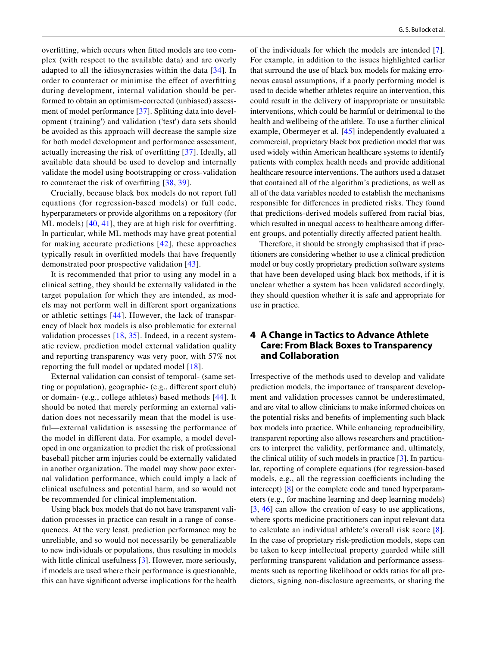overftting, which occurs when ftted models are too complex (with respect to the available data) and are overly adapted to all the idiosyncrasies within the data [[34](#page-5-27)]. In order to counteract or minimise the efect of overftting during development, internal validation should be performed to obtain an optimism-corrected (unbiased) assessment of model performance [[37](#page-5-31)]. Splitting data into development ('training') and validation ('test') data sets should be avoided as this approach will decrease the sample size for both model development and performance assessment, actually increasing the risk of overftting [[37\]](#page-5-31). Ideally, all available data should be used to develop and internally validate the model using bootstrapping or cross-validation to counteract the risk of overftting [\[38,](#page-5-32) [39](#page-5-33)].

Crucially, because black box models do not report full equations (for regression-based models) or full code, hyperparameters or provide algorithms on a repository (for ML models) [[40](#page-5-34), [41\]](#page-5-35), they are at high risk for overfitting. In particular, while ML methods may have great potential for making accurate predictions [[42](#page-5-36)], these approaches typically result in overftted models that have frequently demonstrated poor prospective validation [[43\]](#page-5-37).

It is recommended that prior to using any model in a clinical setting, they should be externally validated in the target population for which they are intended, as models may not perform well in diferent sport organizations or athletic settings [[44\]](#page-5-38). However, the lack of transparency of black box models is also problematic for external validation processes [[18](#page-5-12), [35\]](#page-5-29). Indeed, in a recent systematic review, prediction model external validation quality and reporting transparency was very poor, with 57% not reporting the full model or updated model [[18\]](#page-5-12).

External validation can consist of temporal- (same setting or population), geographic- (e.g., diferent sport club) or domain- (e.g., college athletes) based methods [\[44\]](#page-5-38). It should be noted that merely performing an external validation does not necessarily mean that the model is useful—external validation is assessing the performance of the model in diferent data. For example, a model developed in one organization to predict the risk of professional baseball pitcher arm injuries could be externally validated in another organization. The model may show poor external validation performance, which could imply a lack of clinical usefulness and potential harm, and so would not be recommended for clinical implementation.

Using black box models that do not have transparent validation processes in practice can result in a range of consequences. At the very least, prediction performance may be unreliable, and so would not necessarily be generalizable to new individuals or populations, thus resulting in models with little clinical usefulness [[3](#page-4-2)]. However, more seriously, if models are used where their performance is questionable, this can have signifcant adverse implications for the health of the individuals for which the models are intended [[7](#page-5-1)]. For example, in addition to the issues highlighted earlier that surround the use of black box models for making erroneous causal assumptions, if a poorly performing model is used to decide whether athletes require an intervention, this could result in the delivery of inappropriate or unsuitable interventions, which could be harmful or detrimental to the health and wellbeing of the athlete. To use a further clinical example, Obermeyer et al. [[45](#page-5-39)] independently evaluated a commercial, proprietary black box prediction model that was used widely within American healthcare systems to identify patients with complex health needs and provide additional healthcare resource interventions. The authors used a dataset that contained all of the algorithm's predictions, as well as all of the data variables needed to establish the mechanisms responsible for diferences in predicted risks. They found that predictions-derived models sufered from racial bias, which resulted in unequal access to healthcare among diferent groups, and potentially directly afected patient health.

Therefore, it should be strongly emphasised that if practitioners are considering whether to use a clinical prediction model or buy costly proprietary prediction software systems that have been developed using black box methods, if it is unclear whether a system has been validated accordingly, they should question whether it is safe and appropriate for use in practice.

## **4 A Change in Tactics to Advance Athlete Care: From Black Boxes to Transparency and Collaboration**

Irrespective of the methods used to develop and validate prediction models, the importance of transparent development and validation processes cannot be underestimated, and are vital to allow clinicians to make informed choices on the potential risks and benefts of implementing such black box models into practice. While enhancing reproducibility, transparent reporting also allows researchers and practitioners to interpret the validity, performance and, ultimately, the clinical utility of such models in practice [[3\]](#page-4-2). In particular, reporting of complete equations (for regression-based models, e.g., all the regression coefficients including the intercept) [\[8](#page-5-2)] or the complete code and tuned hyperparameters (e.g., for machine learning and deep learning models) [[3,](#page-4-2) [46\]](#page-5-40) can allow the creation of easy to use applications, where sports medicine practitioners can input relevant data to calculate an individual athlete's overall risk score [[8](#page-5-2)]. In the case of proprietary risk-prediction models, steps can be taken to keep intellectual property guarded while still performing transparent validation and performance assessments such as reporting likelihood or odds ratios for all predictors, signing non-disclosure agreements, or sharing the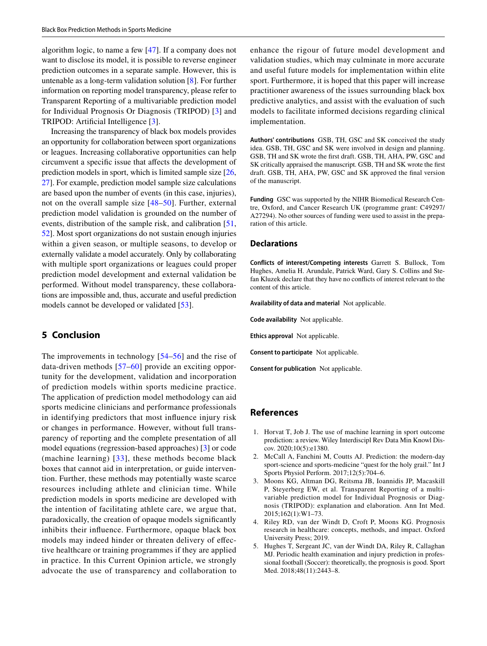algorithm logic, to name a few [[47](#page-5-41)]. If a company does not want to disclose its model, it is possible to reverse engineer prediction outcomes in a separate sample. However, this is untenable as a long-term validation solution [\[8](#page-5-2)]. For further information on reporting model transparency, please refer to Transparent Reporting of a multivariable prediction model for Individual Prognosis Or Diagnosis (TRIPOD) [[3](#page-4-2)] and TRIPOD: Artificial Intelligence [\[3](#page-4-2)].

Increasing the transparency of black box models provides an opportunity for collaboration between sport organizations or leagues. Increasing collaborative opportunities can help circumvent a specifc issue that afects the development of prediction models in sport, which is limited sample size [[26,](#page-5-20) [27](#page-5-28)]. For example, prediction model sample size calculations are based upon the number of events (in this case, injuries), not on the overall sample size [[48](#page-5-42)[–50\]](#page-6-0). Further, external prediction model validation is grounded on the number of events, distribution of the sample risk, and calibration [[51,](#page-6-1) [52](#page-6-2)]. Most sport organizations do not sustain enough injuries within a given season, or multiple seasons, to develop or externally validate a model accurately. Only by collaborating with multiple sport organizations or leagues could proper prediction model development and external validation be performed. Without model transparency, these collaborations are impossible and, thus, accurate and useful prediction models cannot be developed or validated [[53](#page-6-3)].

## **5 Conclusion**

The improvements in technology [[54](#page-6-4)–[56\]](#page-6-5) and the rise of data-driven methods [\[57–](#page-6-6)[60\]](#page-6-7) provide an exciting opportunity for the development, validation and incorporation of prediction models within sports medicine practice. The application of prediction model methodology can aid sports medicine clinicians and performance professionals in identifying predictors that most infuence injury risk or changes in performance. However, without full transparency of reporting and the complete presentation of all model equations (regression-based approaches) [\[3\]](#page-4-2) or code (machine learning) [[33\]](#page-5-26), these methods become black boxes that cannot aid in interpretation, or guide intervention. Further, these methods may potentially waste scarce resources including athlete and clinician time. While prediction models in sports medicine are developed with the intention of facilitating athlete care, we argue that, paradoxically, the creation of opaque models signifcantly inhibits their infuence. Furthermore, opaque black box models may indeed hinder or threaten delivery of efective healthcare or training programmes if they are applied in practice. In this Current Opinion article, we strongly advocate the use of transparency and collaboration to

enhance the rigour of future model development and validation studies, which may culminate in more accurate and useful future models for implementation within elite sport. Furthermore, it is hoped that this paper will increase practitioner awareness of the issues surrounding black box predictive analytics, and assist with the evaluation of such models to facilitate informed decisions regarding clinical implementation.

**Authors' contributions** GSB, TH, GSC and SK conceived the study idea. GSB, TH, GSC and SK were involved in design and planning. GSB, TH and SK wrote the frst draft. GSB, TH, AHA, PW, GSC and SK critically appraised the manuscript. GSB, TH and SK wrote the frst draft. GSB, TH, AHA, PW, GSC and SK approved the fnal version of the manuscript.

**Funding** GSC was supported by the NIHR Biomedical Research Centre, Oxford, and Cancer Research UK (programme grant: C49297/ A27294). No other sources of funding were used to assist in the preparation of this article.

#### **Declarations**

**Conflicts of interest/Competing interests** Garrett S. Bullock, Tom Hughes, Amelia H. Arundale, Patrick Ward, Gary S. Collins and Stefan Kluzek declare that they have no conficts of interest relevant to the content of this article.

**Availability of data and material** Not applicable.

**Code availability** Not applicable.

**Ethics approval** Not applicable.

**Consent to participate** Not applicable.

**Consent for publication** Not applicable.

#### **References**

- <span id="page-4-0"></span>1. Horvat T, Job J. The use of machine learning in sport outcome prediction: a review. Wiley Interdiscipl Rev Data Min Knowl Discov. 2020;10(5):e1380.
- <span id="page-4-1"></span>2. McCall A, Fanchini M, Coutts AJ. Prediction: the modern-day sport-science and sports-medicine "quest for the holy grail." Int J Sports Physiol Perform. 2017;12(5):704–6.
- <span id="page-4-2"></span>3. Moons KG, Altman DG, Reitsma JB, Ioannidis JP, Macaskill P, Steyerberg EW, et al. Transparent Reporting of a multivariable prediction model for Individual Prognosis or Diagnosis (TRIPOD): explanation and elaboration. Ann Int Med. 2015;162(1):W1–73.
- <span id="page-4-3"></span>4. Riley RD, van der Windt D, Croft P, Moons KG. Prognosis research in healthcare: concepts, methods, and impact. Oxford University Press; 2019.
- <span id="page-4-4"></span>5. Hughes T, Sergeant JC, van der Windt DA, Riley R, Callaghan MJ. Periodic health examination and injury prediction in professional football (Soccer): theoretically, the prognosis is good. Sport Med. 2018;48(11):2443–8.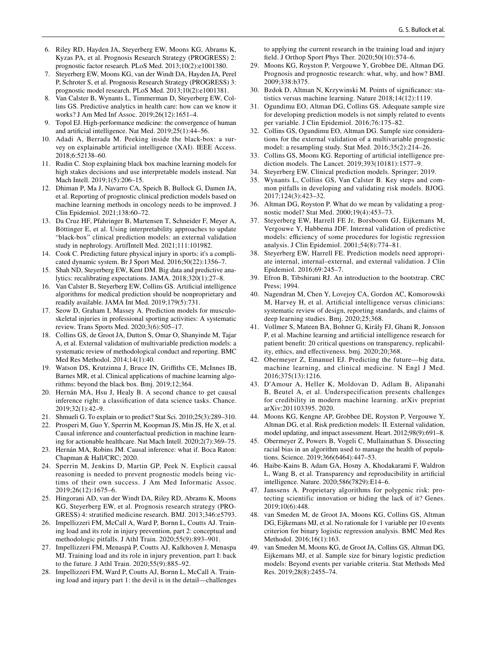- <span id="page-5-0"></span>6. Riley RD, Hayden JA, Steyerberg EW, Moons KG, Abrams K, Kyzas PA, et al. Prognosis Research Strategy (PROGRESS) 2: prognostic factor research. PLoS Med. 2013;10(2):e1001380.
- <span id="page-5-1"></span>7. Steyerberg EW, Moons KG, van der Windt DA, Hayden JA, Perel P, Schroter S, et al. Prognosis Research Strategy (PROGRESS) 3: prognostic model research. PLoS Med. 2013;10(2):e1001381.
- <span id="page-5-2"></span>8. Van Calster B, Wynants L, Timmerman D, Steyerberg EW, Collins GS. Predictive analytics in health care: how can we know it works? J Am Med Inf Assoc. 2019;26(12):1651–4.
- <span id="page-5-3"></span>9. Topol EJ. High-performance medicine: the convergence of human and artifcial intelligence. Nat Med. 2019;25(1):44–56.
- <span id="page-5-4"></span>10. Adadi A, Berrada M. Peeking inside the black-box: a survey on explainable artifcial intelligence (XAI). IEEE Access. 2018;6:52138–60.
- <span id="page-5-10"></span>11. Rudin C. Stop explaining black box machine learning models for high stakes decisions and use interpretable models instead. Nat Mach Intell. 2019;1(5):206–15.
- <span id="page-5-5"></span>12. Dhiman P, Ma J, Navarro CA, Speich B, Bullock G, Damen JA, et al. Reporting of prognostic clinical prediction models based on machine learning methods in oncology needs to be improved. J Clin Epidemiol. 2021;138:60–72.
- <span id="page-5-6"></span>13. Da Cruz HF, Pfahringer B, Martensen T, Schneider F, Meyer A, Böttinger E, et al. Using interpretability approaches to update "black-box" clinical prediction models: an external validation study in nephrology. ArtifIntell Med. 2021;111:101982.
- <span id="page-5-7"></span>14. Cook C. Predicting future physical injury in sports: it's a complicated dynamic system. Br J Sport Med. 2016;50(22):1356–7.
- <span id="page-5-8"></span>15. Shah ND, Steyerberg EW, Kent DM. Big data and predictive analytics: recalibrating expectations. JAMA. 2018;320(1):27–8.
- <span id="page-5-9"></span>16. Van Calster B, Steyerberg EW, Collins GS. Artifcial intelligence algorithms for medical prediction should be nonproprietary and readily available. JAMA Int Med. 2019;179(5):731.
- <span id="page-5-11"></span>17. Seow D, Graham I, Massey A. Prediction models for musculoskeletal injuries in professional sporting activities: A systematic review. Trans Sports Med. 2020;3(6):505–17.
- <span id="page-5-12"></span>18. Collins GS, de Groot JA, Dutton S, Omar O, Shanyinde M, Tajar A, et al. External validation of multivariable prediction models: a systematic review of methodological conduct and reporting. BMC Med Res Methodol. 2014;14(1):40.
- <span id="page-5-13"></span>19. Watson DS, Krutzinna J, Bruce IN, Grifths CE, McInnes IB, Barnes MR, et al. Clinical applications of machine learning algorithms: beyond the black box. Bmj. 2019;12;364.
- <span id="page-5-14"></span>20. Hernán MA, Hsu J, Healy B. A second chance to get causal inference right: a classifcation of data science tasks. Chance. 2019;32(1):42–9.
- <span id="page-5-15"></span>21. Shmueli G. To explain or to predict? Stat Sci. 2010;25(3):289–310.
- <span id="page-5-16"></span>22. Prosperi M, Guo Y, Sperrin M, Koopman JS, Min JS, He X, et al. Causal inference and counterfactual prediction in machine learning for actionable healthcare. Nat Mach Intell. 2020;2(7):369–75.
- <span id="page-5-17"></span>23. Hernán MA, Robins JM. Causal inference: what if. Boca Raton: Chapman & Hall/CRC; 2020.
- <span id="page-5-18"></span>24. Sperrin M, Jenkins D, Martin GP, Peek N. Explicit causal reasoning is needed to prevent prognostic models being victims of their own success. J Am Med Informatic Assoc. 2019;26(12):1675–6.
- <span id="page-5-19"></span>25. Hingorani AD, van der Windt DA, Riley RD, Abrams K, Moons KG, Steyerberg EW, et al. Prognosis research strategy (PRO-GRESS) 4: stratifed medicine research. BMJ. 2013;346:e5793.
- <span id="page-5-20"></span>26. Impellizzeri FM, McCall A, Ward P, Bornn L, Coutts AJ. Training load and its role in injury prevention, part 2: conceptual and methodologic pitfalls. J Athl Train. 2020;55(9):893–901.
- <span id="page-5-28"></span>27. Impellizzeri FM, Menaspà P, Coutts AJ, Kalkhoven J, Menaspa MJ. Training load and its role in injury prevention, part I: back to the future. J Athl Train. 2020;55(9):885–92.
- <span id="page-5-21"></span>28. Impellizzeri FM, Ward P, Coutts AJ, Bornn L, McCall A. Training load and injury part 1: the devil is in the detail—challenges

to applying the current research in the training load and injury feld. J Orthop Sport Phys Ther. 2020;50(10):574–6.

- <span id="page-5-22"></span>29. Moons KG, Royston P, Vergouwe Y, Grobbee DE, Altman DG. Prognosis and prognostic research: what, why, and how? BMJ. 2009;338:b375.
- <span id="page-5-23"></span>30. Bzdok D, Altman N, Krzywinski M. Points of signifcance: statistics versus machine learning. Nature 2018;14(12):1119.
- <span id="page-5-24"></span>31. Ogundimu EO, Altman DG, Collins GS. Adequate sample size for developing prediction models is not simply related to events per variable. J Clin Epidemiol. 2016;76:175–82.
- <span id="page-5-25"></span>32. Collins GS, Ogundimu EO, Altman DG. Sample size considerations for the external validation of a multivariable prognostic model: a resampling study. Stat Med. 2016;35(2):214–26.
- <span id="page-5-26"></span>33. Collins GS, Moons KG. Reporting of artifcial intelligence prediction models. The Lancet. 2019;393(10181):1577–9.
- <span id="page-5-27"></span>34. Steyerberg EW. Clinical prediction models. Springer; 2019.
- <span id="page-5-29"></span>35. Wynants L, Collins GS, Van Calster B. Key steps and common pitfalls in developing and validating risk models. BJOG. 2017;124(3):423–32.
- <span id="page-5-30"></span>36. Altman DG, Royston P. What do we mean by validating a prognostic model? Stat Med. 2000;19(4):453–73.
- <span id="page-5-31"></span>37. Steyerberg EW, Harrell FE Jr, Borsboom GJ, Eijkemans M, Vergouwe Y, Habbema JDF. Internal validation of predictive models: efficiency of some procedures for logistic regression analysis. J Clin Epidemiol. 2001;54(8):774–81.
- <span id="page-5-32"></span>38. Steyerberg EW, Harrell FE. Prediction models need appropriate internal, internal–external, and external validation. J Clin Epidemiol. 2016;69:245–7.
- <span id="page-5-33"></span>39. Efron B, Tibshirani RJ. An introduction to the bootstrap. CRC Press; 1994.
- <span id="page-5-34"></span>40. Nagendran M, Chen Y, Lovejoy CA, Gordon AC, Komorowski M, Harvey H, et al. Artifcial intelligence versus clinicians: systematic review of design, reporting standards, and claims of deep learning studies. Bmj. 2020;25;368.
- <span id="page-5-35"></span>41. Vollmer S, Mateen BA, Bohner G, Király FJ, Ghani R, Jonsson P, et al. Machine learning and artifcial intelligence research for patient beneft: 20 critical questions on transparency, replicability, ethics, and efectiveness. bmj. 2020;20;368.
- <span id="page-5-36"></span>42. Obermeyer Z, Emanuel EJ. Predicting the future—big data, machine learning, and clinical medicine. N Engl J Med. 2016;375(13):1216.
- <span id="page-5-37"></span>43. D'Amour A, Heller K, Moldovan D, Adlam B, Alipanahi B, Beutel A, et al. Underspecification presents challenges for credibility in modern machine learning. arXiv preprint arXiv:201103395. 2020.
- <span id="page-5-38"></span>44. Moons KG, Kengne AP, Grobbee DE, Royston P, Vergouwe Y, Altman DG, et al. Risk prediction models: II. External validation, model updating, and impact assessment. Heart. 2012;98(9):691–8.
- <span id="page-5-39"></span>45. Obermeyer Z, Powers B, Vogeli C, Mullainathan S. Dissecting racial bias in an algorithm used to manage the health of populations. Science. 2019;366(6464):447–53.
- <span id="page-5-40"></span>46. Haibe-Kains B, Adam GA, Hosny A, Khodakarami F, Waldron L, Wang B, et al. Transparency and reproducibility in artifcial intelligence. Nature. 2020;586(7829):E14–6.
- <span id="page-5-41"></span>47. Janssens A. Proprietary algorithms for polygenic risk: protecting scientific innovation or hiding the lack of it? Genes. 2019;10(6):448.
- <span id="page-5-42"></span>48. van Smeden M, de Groot JA, Moons KG, Collins GS, Altman DG, Eijkemans MJ, et al. No rationale for 1 variable per 10 events criterion for binary logistic regression analysis. BMC Med Res Methodol. 2016;16(1):163.
- 49. van Smeden M, Moons KG, de Groot JA, Collins GS, Altman DG, Eijkemans MJ, et al. Sample size for binary logistic prediction models: Beyond events per variable criteria. Stat Methods Med Res. 2019;28(8):2455–74.